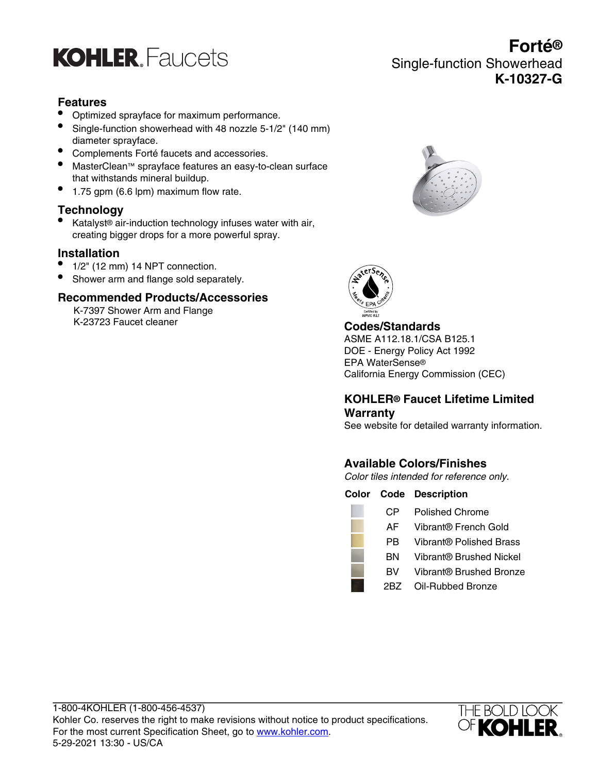

# **Features**

- Optimized sprayface for maximum performance.
- Single-function showerhead with 48 nozzle 5-1/2" (140 mm) diameter sprayface.
- Complements Forté faucets and accessories.
- MasterClean™ sprayface features an easy-to-clean surface that withstands mineral buildup.
- 1.75 gpm (6.6 lpm) maximum flow rate.

## **Technology**

• Katalyst® air-induction technology infuses water with air, creating bigger drops for a more powerful spray.

# **Installation**

- 1/2" (12 mm) 14 NPT connection.
- Shower arm and flange sold separately.

# **Recommended Products/Accessories**

K-7397 Shower Arm and Flange K-23723 Faucet cleaner **Codes/Standards**



Single-function Showerhead

**Forté®**

**K-10327-G**



ASME A112.18.1/CSA B125.1 DOE - Energy Policy Act 1992 EPA WaterSense® California Energy Commission (CEC)

# **KOHLER® Faucet Lifetime Limited Warranty**

See website for detailed warranty information.

# **Available Colors/Finishes**

Color tiles intended for reference only.

|     | <b>Color Code Description</b> |
|-----|-------------------------------|
| CР  | Polished Chrome               |
| AF  | Vibrant® French Gold          |
| РB  | Vibrant® Polished Brass       |
| вN  | Vibrant® Brushed Nickel       |
| BV. | Vibrant® Brushed Bronze       |
| 2R7 | Oil-Rubbed Bronze             |
|     |                               |